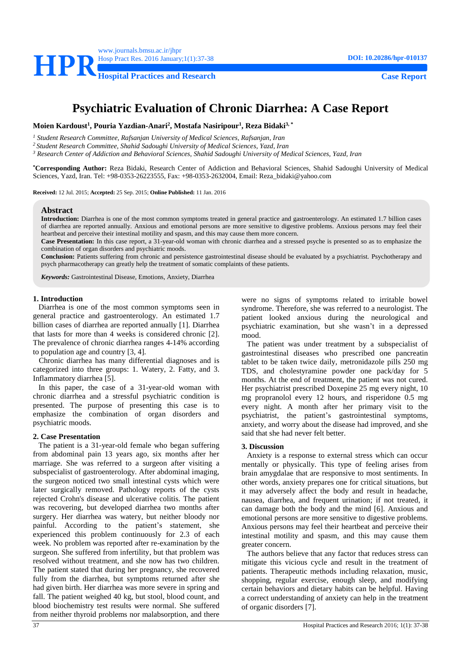

# **Psychiatric Evaluation of Chronic Diarrhea: A Case Report**

**Moien Kardoust<sup>1</sup> , Pouria Yazdian-Anari<sup>2</sup> , Mostafa Nasiripour<sup>1</sup> , Reza Bidaki3, \***

*<sup>1</sup> Student Research Committee, Rafsanjan University of Medical Sciences, Rafsanjan, Iran*

*<sup>2</sup> Student Research Committee, Shahid Sadoughi University of Medical Sciences, Yazd, Iran*

*<sup>3</sup> Research Center of Addiction and Behavioral Sciences, Shahid Sadoughi University of Medical Sciences, Yazd, Iran*

**\*Corresponding Author:** Reza Bidaki, Research Center of Addiction and Behavioral Sciences, Shahid Sadoughi University of Medical Sciences, Yazd, Iran. Tel: +98-0353-26223555, Fax: +98-0353-2632004, Email: Reza\_bidaki@yahoo.com

**Received:** 12 Jul. 2015; **Accepted:** 25 Sep. 2015; **Online Published:** 11 Jan. 2016

#### **Abstract**

**Introduction:** Diarrhea is one of the most common symptoms treated in general practice and gastroenterology. An estimated 1.7 billion cases of diarrhea are reported annually. Anxious and emotional persons are more sensitive to digestive problems. Anxious persons may feel their heartbeat and perceive their intestinal motility and spasm, and this may cause them more concern.

**Case Presentation:** In this case report, a 31-year-old woman with chronic diarrhea and a stressed psyche is presented so as to emphasize the combination of organ disorders and psychiatric moods.

**Conclusion:** Patients suffering from chronic and persistence gastrointestinal disease should be evaluated by a psychiatrist. Psychotherapy and psych pharmacotherapy can greatly help the treatment of somatic complaints of these patients.

*Keywords:* Gastrointestinal Disease, Emotions, Anxiety, Diarrhea

#### **1. Introduction**

Diarrhea is one of the most common symptoms seen in general practice and gastroenterology. An estimated 1.7 billion cases of diarrhea are reported annually [\[1\]](#page-1-0). Diarrhea that lasts for more than 4 weeks is considered chronic [\[2\]](#page-1-1). The prevalence of chronic diarrhea ranges 4-14% according to population age and country [\[3,](#page-1-2) [4\]](#page-1-3).

 Chronic diarrhea has many differential diagnoses and is categorized into three groups: 1. Watery, 2. Fatty, and 3. Inflammatory diarrhea [\[5\]](#page-1-4).

In this paper, the case of a 31-year-old woman with chronic diarrhea and a stressful psychiatric condition is presented. The purpose of presenting this case is to emphasize the combination of organ disorders and psychiatric moods.

#### **2. Case Presentation**

The patient is a 31-year-old female who began suffering from abdominal pain 13 years ago, six months after her marriage. She was referred to a surgeon after visiting a subspecialist of gastroenterology. After abdominal imaging, the surgeon noticed two small intestinal cysts which were later surgically removed. Pathology reports of the cysts rejected Crohn's disease and ulcerative colitis. The patient was recovering, but developed diarrhea two months after surgery. Her diarrhea was watery, but neither bloody nor painful. According to the patient's statement, she experienced this problem continuously for 2.3 of each week. No problem was reported after re-examination by the surgeon. She suffered from infertility, but that problem was resolved without treatment, and she now has two children. The patient stated that during her pregnancy, she recovered fully from the diarrhea, but symptoms returned after she had given birth. Her diarrhea was more severe in spring and fall. The patient weighed 40 kg, but stool, blood count, and blood biochemistry test results were normal. She suffered from neither thyroid problems nor malabsorption, and there

were no signs of symptoms related to irritable bowel syndrome. Therefore, she was referred to a neurologist. The patient looked anxious during the neurological and psychiatric examination, but she wasn't in a depressed mood.

The patient was under treatment by a subspecialist of gastrointestinal diseases who prescribed one pancreatin tablet to be taken twice daily, metronidazole pills 250 mg TDS, and cholestyramine powder one pack/day for 5 months. At the end of treatment, the patient was not cured. Her psychiatrist prescribed Doxepine 25 mg every night, 10 mg propranolol every 12 hours, and risperidone 0.5 mg every night. A month after her primary visit to the psychiatrist, the patient's gastrointestinal symptoms, anxiety, and worry about the disease had improved, and she said that she had never felt better.

#### **3. Discussion**

Anxiety is a response to external stress which can occur mentally or physically. This type of feeling arises from brain amygdalae that are responsive to most sentiments. In other words, anxiety prepares one for critical situations, but it may adversely affect the body and result in headache, nausea, diarrhea, and frequent urination; if not treated, it can damage both the body and the mind [\[6\]](#page-1-5). Anxious and emotional persons are more sensitive to digestive problems. Anxious persons may feel their heartbeat and perceive their intestinal motility and spasm, and this may cause them greater concern.

The authors believe that any factor that reduces stress can mitigate this vicious cycle and result in the treatment of patients. Therapeutic methods including relaxation, music, shopping, regular exercise, enough sleep, and modifying certain behaviors and dietary habits can be helpful. Having a correct understanding of anxiety can help in the treatment of organic disorders [\[7\]](#page-1-6).